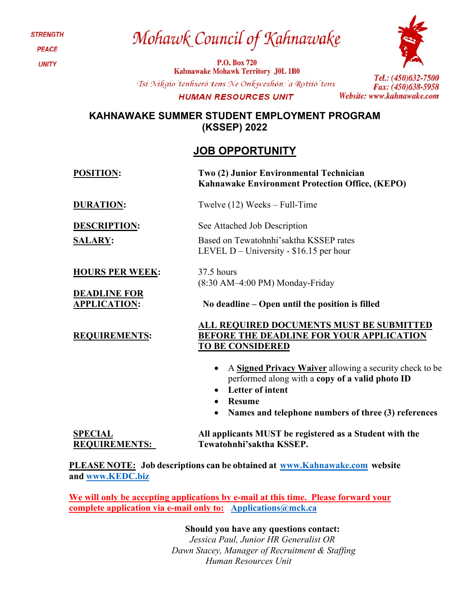**STRENGTH PEACE UNITY** 

## Mohawk Council of Kahnawake

P.O. Box 720 **Kahnawake Mohawk Territory J0L 1B0** Tsi Nikaio' tenhseró: tens Ne Onkweshón: 'a Rotiió' tens **HUMAN RESOURCES UNIT** 



Tel.: (450)632-7500 Fax: (450)638-5958 Website: www.kahnawake.com

### **KAHNAWAKE SUMMER STUDENT EMPLOYMENT PROGRAM (KSSEP) 2022**

### **JOB OPPORTUNITY**

| <b>POSITION:</b>                                                     | Two (2) Junior Environmental Technician<br>Kahnawake Environment Protection Office, (KEPO)                                                                                                                          |
|----------------------------------------------------------------------|---------------------------------------------------------------------------------------------------------------------------------------------------------------------------------------------------------------------|
| <b>DURATION:</b>                                                     | Twelve $(12)$ Weeks – Full-Time                                                                                                                                                                                     |
| <b>DESCRIPTION:</b><br><b>SALARY:</b>                                | See Attached Job Description<br>Based on Tewatohnhi's aktha KSSEP rates<br>LEVEL $D$ – University - \$16.15 per hour                                                                                                |
| <b>HOURS PER WEEK:</b><br><b>DEADLINE FOR</b><br><b>APPLICATION:</b> | 37.5 hours<br>(8:30 AM-4:00 PM) Monday-Friday<br>No deadline – Open until the position is filled                                                                                                                    |
| <b>REQUIREMENTS:</b>                                                 | ALL REQUIRED DOCUMENTS MUST BE SUBMITTED<br><b>BEFORE THE DEADLINE FOR YOUR APPLICATION</b><br><b>TO BE CONSIDERED</b>                                                                                              |
|                                                                      | A Signed Privacy Waiver allowing a security check to be<br>performed along with a copy of a valid photo ID<br>Letter of intent<br><b>Resume</b><br>$\bullet$<br>Names and telephone numbers of three (3) references |
| <b>SPECIAL</b><br><b>REQUIREMENTS:</b>                               | All applicants MUST be registered as a Student with the<br>Tewatohnhi'saktha KSSEP.                                                                                                                                 |

**PLEASE NOTE: Job descriptions can be obtained at [www.Kahnawake.com](http://www.kahnawake.com/) website and [www.KEDC.biz](http://www.kedc.biz/)**

**We will only be accepting applications by e-mail at this time. Please forward your complete application via e-mail only to: [Applications@mck.ca](mailto:Applications@mck.ca)**

**Should you have any questions contact:**

*Jessica Paul, Junior HR Generalist OR Dawn Stacey, Manager of Recruitment & Staffing Human Resources Unit*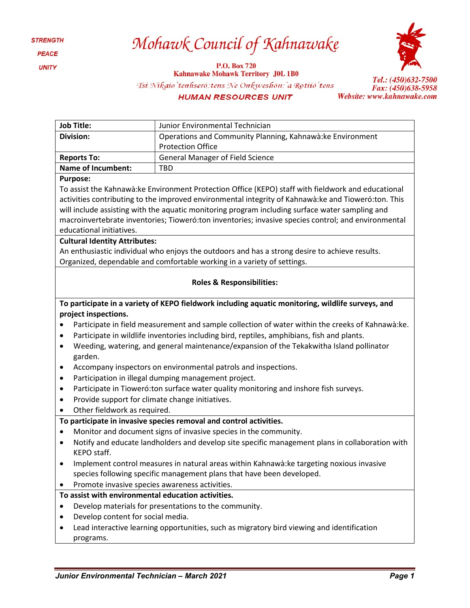**STRENGTH** PEACE **UNITY** 

## Mohawk Council of Kahnawake

P.O. Box 720 **Kahnawake Mohawk Territory J0L 1B0** Tsi Nikaio'tenhseró: tens Ne Onkweshón: 'a Rotiió'tens **HUMAN RESOURCES UNIT** 



| <b>Job Title:</b>                                                                                              | Junior Environmental Technician                                                                   |  |
|----------------------------------------------------------------------------------------------------------------|---------------------------------------------------------------------------------------------------|--|
| <b>Division:</b>                                                                                               | Operations and Community Planning, Kahnawà: ke Environment                                        |  |
|                                                                                                                | <b>Protection Office</b>                                                                          |  |
| <b>Reports To:</b>                                                                                             | <b>General Manager of Field Science</b>                                                           |  |
| <b>Name of Incumbent:</b>                                                                                      | TBD                                                                                               |  |
| <b>Purpose:</b>                                                                                                |                                                                                                   |  |
| To assist the Kahnawà:ke Environment Protection Office (KEPO) staff with fieldwork and educational             |                                                                                                   |  |
| activities contributing to the improved environmental integrity of Kahnawà: ke and Tioweró: ton. This          |                                                                                                   |  |
| will include assisting with the aquatic monitoring program including surface water sampling and                |                                                                                                   |  |
| macroinvertebrate inventories; Tioweró:ton inventories; invasive species control; and environmental            |                                                                                                   |  |
| educational initiatives.                                                                                       |                                                                                                   |  |
| <b>Cultural Identity Attributes:</b>                                                                           |                                                                                                   |  |
| An enthusiastic individual who enjoys the outdoors and has a strong desire to achieve results.                 |                                                                                                   |  |
|                                                                                                                | Organized, dependable and comfortable working in a variety of settings.                           |  |
|                                                                                                                |                                                                                                   |  |
|                                                                                                                | <b>Roles &amp; Responsibilities:</b>                                                              |  |
|                                                                                                                |                                                                                                   |  |
|                                                                                                                | To participate in a variety of KEPO fieldwork including aquatic monitoring, wildlife surveys, and |  |
| project inspections.                                                                                           |                                                                                                   |  |
| Participate in field measurement and sample collection of water within the creeks of Kahnawà: ke.<br>$\bullet$ |                                                                                                   |  |
| Participate in wildlife inventories including bird, reptiles, amphibians, fish and plants.<br>$\bullet$        |                                                                                                   |  |
| Weeding, watering, and general maintenance/expansion of the Tekakwitha Island pollinator<br>$\bullet$          |                                                                                                   |  |
| garden.                                                                                                        |                                                                                                   |  |
| Accompany inspectors on environmental patrols and inspections.<br>٠                                            |                                                                                                   |  |
| Participation in illegal dumping management project.<br>٠                                                      |                                                                                                   |  |
| Participate in Tioweró: ton surface water quality monitoring and inshore fish surveys.<br>٠                    |                                                                                                   |  |
| Provide support for climate change initiatives.<br>$\bullet$                                                   |                                                                                                   |  |
| Other fieldwork as required.<br>$\bullet$                                                                      |                                                                                                   |  |
|                                                                                                                | To participate in invasive species removal and control activities.                                |  |
| Monitor and document signs of invasive species in the community.<br>$\bullet$                                  |                                                                                                   |  |
| $\bullet$                                                                                                      | Notify and educate landholders and develop site specific management plans in collaboration with   |  |
| KEPO staff.                                                                                                    |                                                                                                   |  |
|                                                                                                                | Implement control measures in natural areas within Kahnawà: ke targeting noxious invasive         |  |
|                                                                                                                | species following specific management plans that have been developed.                             |  |
| Promote invasive species awareness activities.                                                                 |                                                                                                   |  |
| To assist with environmental education activities.                                                             |                                                                                                   |  |
| $\bullet$                                                                                                      | Develop materials for presentations to the community.                                             |  |
| Develop content for social media.                                                                              |                                                                                                   |  |
|                                                                                                                | Lead interactive learning opportunities, such as migratory bird viewing and identification        |  |
| programs.                                                                                                      |                                                                                                   |  |
|                                                                                                                |                                                                                                   |  |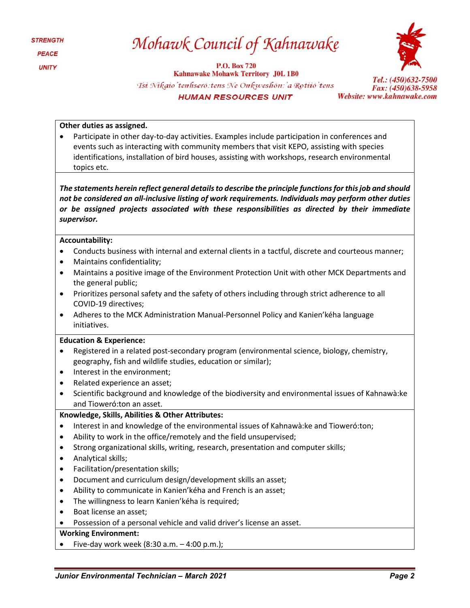| <i><b>STRENGTH</b></i> |
|------------------------|
| <b>PEACE</b>           |
| <b>UNITY</b>           |

## Mohawk Council of Kahnawake

**P.O. Box 720 Kahnawake Mohawk Territory J0L 1B0** Tsi Nikaio'tenhseró: tens Ne Onkweshón: 'a Rotiió' tens **HUMAN RESOURCES UNIT** 



#### **Other duties as assigned.**

• Participate in other day-to-day activities. Examples include participation in conferences and events such as interacting with community members that visit KEPO, assisting with species identifications, installation of bird houses, assisting with workshops, research environmental topics etc.

*The statements herein reflect general details to describe the principle functions for this job and should not be considered an all-inclusive listing of work requirements. Individuals may perform other duties or be assigned projects associated with these responsibilities as directed by their immediate supervisor.*

#### **Accountability:**

- Conducts business with internal and external clients in a tactful, discrete and courteous manner;
- Maintains confidentiality;
- Maintains a positive image of the Environment Protection Unit with other MCK Departments and the general public;
- Prioritizes personal safety and the safety of others including through strict adherence to all COVID-19 directives;
- Adheres to the MCK Administration Manual-Personnel Policy and Kanien'kéha language initiatives.

#### **Education & Experience:**

- Registered in a related post-secondary program (environmental science, biology, chemistry, geography, fish and wildlife studies, education or similar);
- Interest in the environment;
- Related experience an asset;
- Scientific background and knowledge of the biodiversity and environmental issues of Kahnawà:ke and Tioweró:ton an asset.

#### **Knowledge, Skills, Abilities & Other Attributes:**

- Interest in and knowledge of the environmental issues of Kahnawà:ke and Tioweró:ton;
- Ability to work in the office/remotely and the field unsupervised;
- Strong organizational skills, writing, research, presentation and computer skills;
- Analytical skills;
- Facilitation/presentation skills;
- Document and curriculum design/development skills an asset;
- Ability to communicate in Kanien'kéha and French is an asset;
- The willingness to learn Kanien'kéha is required;
- Boat license an asset;
- Possession of a personal vehicle and valid driver's license an asset.

#### **Working Environment:**

Five-day work week  $(8:30 a.m. - 4:00 p.m.);$